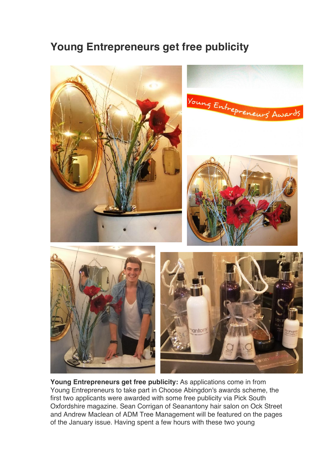## **Young Entrepreneurs get free publicity**



**Young Entrepreneurs get free publicity:** As applications come in from Young Entrepreneurs to take part in Choose Abingdon's awards scheme, the first two applicants were awarded with some free publicity via Pick South Oxfordshire magazine. Sean Corrigan of Seanantony hair salon on Ock Street and Andrew Maclean of ADM Tree Management will be featured on the pages of the January issue. Having spent a few hours with these two young